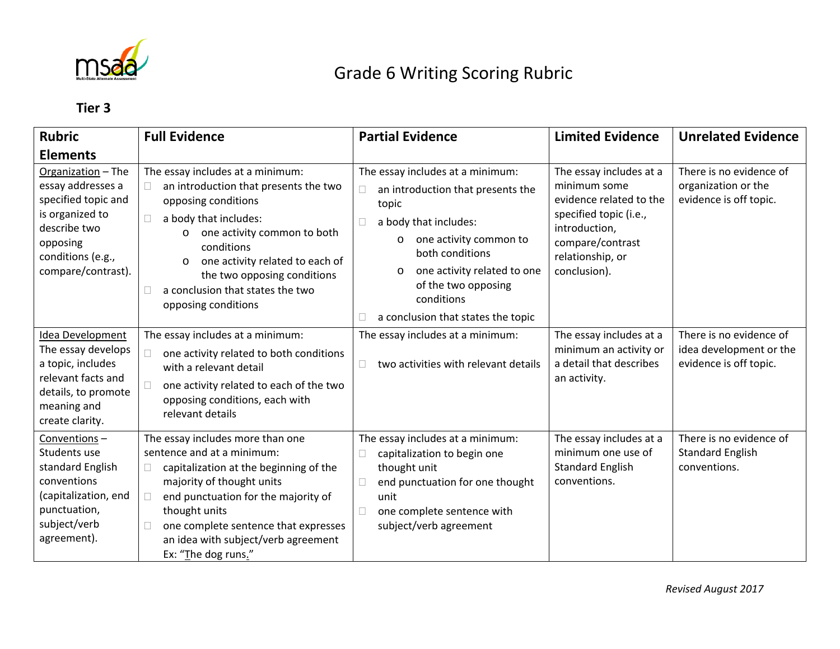

## Grade 6 Writing Scoring Rubric

## **Tier 3**

| <b>Rubric</b>                                                                                                                                                               | <b>Full Evidence</b>                                                                                                                                                                                                                                                                                                                     | <b>Partial Evidence</b>                                                                                                                                                                                                                                                              | <b>Limited Evidence</b>                                                                                                                                               | <b>Unrelated Evidence</b>                                                    |
|-----------------------------------------------------------------------------------------------------------------------------------------------------------------------------|------------------------------------------------------------------------------------------------------------------------------------------------------------------------------------------------------------------------------------------------------------------------------------------------------------------------------------------|--------------------------------------------------------------------------------------------------------------------------------------------------------------------------------------------------------------------------------------------------------------------------------------|-----------------------------------------------------------------------------------------------------------------------------------------------------------------------|------------------------------------------------------------------------------|
| <b>Elements</b><br>Organization - The<br>essay addresses a<br>specified topic and<br>is organized to<br>describe two<br>opposing<br>conditions (e.g.,<br>compare/contrast). | The essay includes at a minimum:<br>an introduction that presents the two<br>opposing conditions<br>a body that includes:<br>П<br>one activity common to both<br>$\circ$<br>conditions<br>one activity related to each of<br>$\circ$<br>the two opposing conditions<br>a conclusion that states the two<br>$\Box$<br>opposing conditions | The essay includes at a minimum:<br>an introduction that presents the<br>topic<br>a body that includes:<br>one activity common to<br>$\circ$<br>both conditions<br>one activity related to one<br>$\circ$<br>of the two opposing<br>conditions<br>a conclusion that states the topic | The essay includes at a<br>minimum some<br>evidence related to the<br>specified topic (i.e.,<br>introduction,<br>compare/contrast<br>relationship, or<br>conclusion). | There is no evidence of<br>organization or the<br>evidence is off topic.     |
| Idea Development<br>The essay develops<br>a topic, includes<br>relevant facts and<br>details, to promote<br>meaning and<br>create clarity.                                  | The essay includes at a minimum:<br>one activity related to both conditions<br>П<br>with a relevant detail<br>one activity related to each of the two<br>П<br>opposing conditions, each with<br>relevant details                                                                                                                         | The essay includes at a minimum:<br>two activities with relevant details                                                                                                                                                                                                             | The essay includes at a<br>minimum an activity or<br>a detail that describes<br>an activity.                                                                          | There is no evidence of<br>idea development or the<br>evidence is off topic. |
| Conventions-<br>Students use<br>standard English<br>conventions<br>(capitalization, end<br>punctuation,<br>subject/verb<br>agreement).                                      | The essay includes more than one<br>sentence and at a minimum:<br>capitalization at the beginning of the<br>$\Box$<br>majority of thought units<br>end punctuation for the majority of<br>$\Box$<br>thought units<br>one complete sentence that expresses<br>$\Box$<br>an idea with subject/verb agreement<br>Ex: "The dog runs."        | The essay includes at a minimum:<br>capitalization to begin one<br>thought unit<br>end punctuation for one thought<br>unit<br>one complete sentence with<br>subject/verb agreement                                                                                                   | The essay includes at a<br>minimum one use of<br><b>Standard English</b><br>conventions.                                                                              | There is no evidence of<br><b>Standard English</b><br>conventions.           |